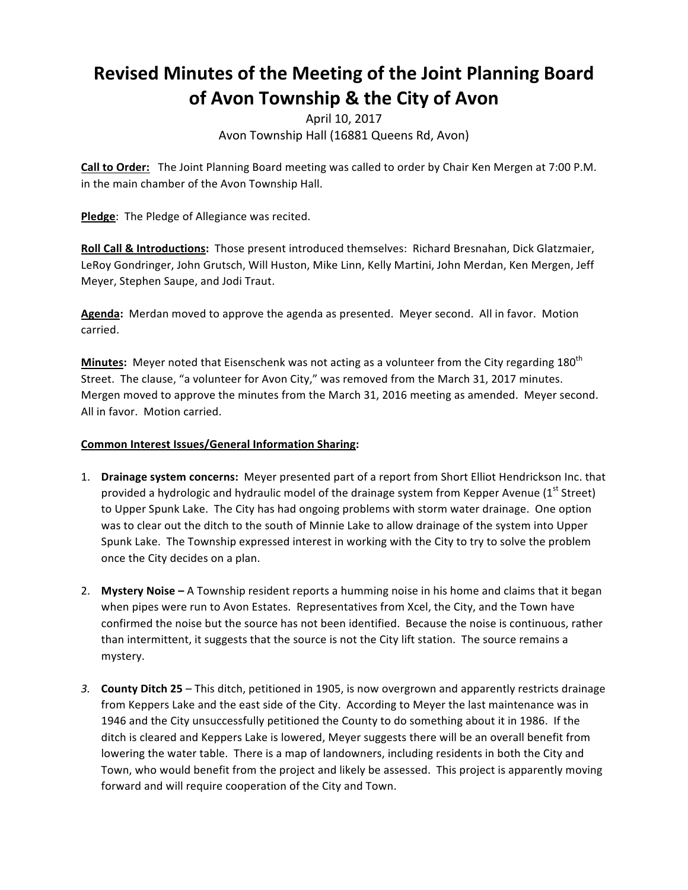## **Revised'Minutes'of'the'Meeting'of'the'Joint'Planning'Board** of Avon Township & the City of Avon

## April 10, 2017 Avon Township Hall (16881 Queens Rd, Avon)

**Call to Order:** The Joint Planning Board meeting was called to order by Chair Ken Mergen at 7:00 P.M. in the main chamber of the Avon Township Hall.

Pledge: The Pledge of Allegiance was recited.

Roll Call & Introductions: Those present introduced themselves: Richard Bresnahan, Dick Glatzmaier, LeRoy Gondringer, John Grutsch, Will Huston, Mike Linn, Kelly Martini, John Merdan, Ken Mergen, Jeff Meyer, Stephen Saupe, and Jodi Traut.

Agenda: Merdan moved to approve the agenda as presented. Meyer second. All in favor. Motion carried.

**Minutes:** Meyer noted that Eisenschenk was not acting as a volunteer from the City regarding 180<sup>th</sup> Street. The clause, "a volunteer for Avon City," was removed from the March 31, 2017 minutes. Mergen moved to approve the minutes from the March 31, 2016 meeting as amended. Meyer second. All in favor. Motion carried.

## **Common Interest Issues/General Information Sharing:**

- 1. **Drainage system concerns:** Meyer presented part of a report from Short Elliot Hendrickson Inc. that provided a hydrologic and hydraulic model of the drainage system from Kepper Avenue (1st Street) to Upper Spunk Lake. The City has had ongoing problems with storm water drainage. One option was to clear out the ditch to the south of Minnie Lake to allow drainage of the system into Upper Spunk Lake. The Township expressed interest in working with the City to try to solve the problem once the City decides on a plan.
- 2. **Mystery Noise** A Township resident reports a humming noise in his home and claims that it began when pipes were run to Avon Estates. Representatives from Xcel, the City, and the Town have confirmed the noise but the source has not been identified. Because the noise is continuous, rather than intermittent, it suggests that the source is not the City lift station. The source remains a mystery.
- 3. **County Ditch 25** This ditch, petitioned in 1905, is now overgrown and apparently restricts drainage from Keppers Lake and the east side of the City. According to Meyer the last maintenance was in 1946 and the City unsuccessfully petitioned the County to do something about it in 1986. If the ditch is cleared and Keppers Lake is lowered, Meyer suggests there will be an overall benefit from lowering the water table. There is a map of landowners, including residents in both the City and Town, who would benefit from the project and likely be assessed. This project is apparently moving forward and will require cooperation of the City and Town.